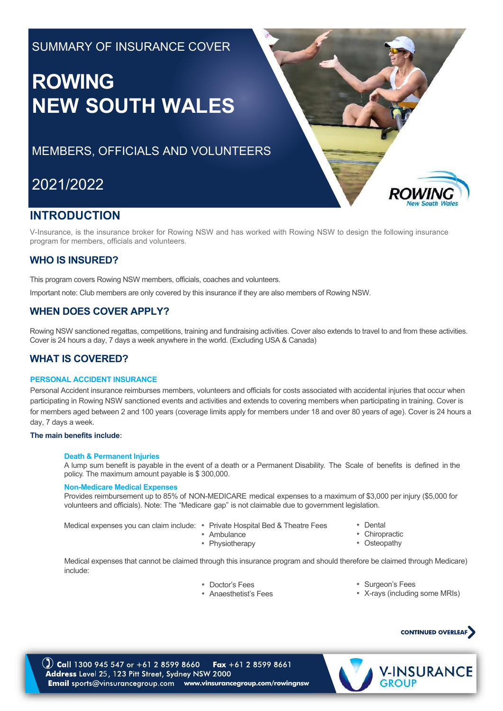## SUMMARY OF INSURANCE COVER

# **ROWING NEW SOUTH WALES**

## MEMBERS, OFFICIALS AND VOLUNTEERS

## 2021/2022



## **INTRODUCTION**

V-Insurance, is the insurance broker for Rowing NSW and has worked with Rowing NSW to design the following insurance program for members, officials and volunteers.

## **WHO IS INSURED?**

This program covers Rowing NSW members, officials, coaches and volunteers.

Important note: Club members are only covered by this insurance if they are also members of Rowing NSW.

## **WHEN DOES COVER APPLY?**

Rowing NSW sanctioned regattas, competitions, training and fundraising activities. Cover also extends to travel to and from these activities. Cover is 24 hours a day, 7 days a week anywhere in the world. (Excluding USA & Canada)

## **WHAT IS COVERED?**

#### **PERSONAL ACCIDENT INSURANCE**

Personal Accident insurance reimburses members, volunteers and officials for costs associated with accidental injuries that occur when participating in Rowing NSW sanctioned events and activities and extends to covering members when participating in training. Cover is for members aged between 2 and 100 years (coverage limits apply for members under 18 and over 80 years of age). Cover is 24 hours a day, 7 days a week.

#### **The main benefits include:**

#### **Death & Permanent Injuries**

A lump sum benefit is payable in the event of a death or a Permanent Disability. The Scale of benefits is defined in the policy. The maximum amount payable is \$ 300,000.

#### **Non-Medicare Medical Expenses**

Provides reimbursement up to 85% of NON-MEDICARE medical expenses to a maximum of \$3,000 per injury (\$5,000 for volunteers and officials). Note: The "Medicare gap" is not claimable due to government legislation.

Medical expenses you can claim include: • Private Hospital Bed & Theatre Fees

- 
- Ambulance
- Physiotherapy
- Dental
- Chiropractic
- Osteopathy

Medical expenses that cannot be claimed through this insurance program and should therefore be claimed through Medicare) include:

- Doctor's Fees
- Anaesthetist's Fees
- Surgeon's Fees
- X-rays (including some MRIs)

## **CONTINUED OVERLEAF**

(2) Call 1300 945 547 or +61 2 8599 8660 **Fax**  $+61$  2 8599 8661 Address Level 25, 123 Pitt Street, Sydney NSW 2000 **Email** sports@vinsurancegroup.com www.vinsurancegroup.com/rowingnsw

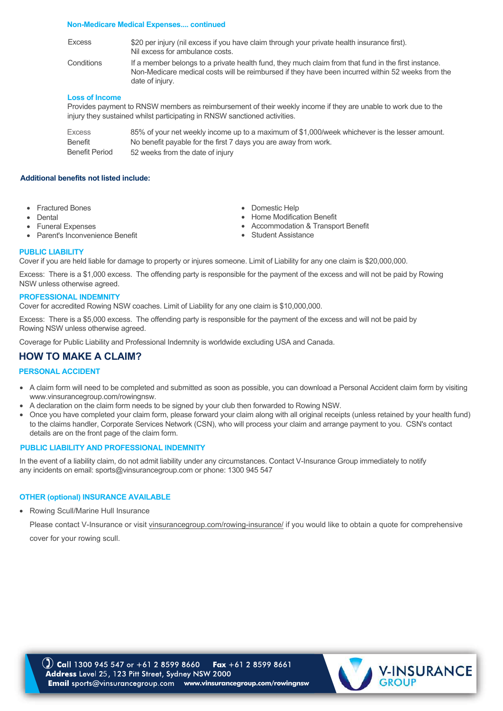#### **Non-Medicare Medical Expenses.... continued**

| <b>Excess</b> | \$20 per injury (nil excess if you have claim through your private health insurance first).<br>Nil excess for ambulance costs.                                                                                              |
|---------------|-----------------------------------------------------------------------------------------------------------------------------------------------------------------------------------------------------------------------------|
| Conditions    | If a member belongs to a private health fund, they much claim from that fund in the first instance.<br>Non-Medicare medical costs will be reimbursed if they have been incurred within 52 weeks from the<br>date of injury. |

#### **Loss of Income**

Provides payment to RNSW members as reimbursement of their weekly income if they are unable to work due to the injury they sustained whilst participating in RNSW sanctioned activities.

85% of your net weekly income up to a maximum of \$1,000/week whichever is the lesser amount. No benefit payable for the first 7 days you are away from work. 52 weeks from the date of injury Excess Benefit Benefit Period

#### **Additional benefits not listed include:**

- Fractured Bones
- Dental
- Funeral Expenses
- Parent's Inconvenience Benefit
- Domestic Help
- Home Modification Benefit
- Accommodation & Transport Benefit
- Student Assistance

#### **PUBLIC LIABILITY**

Cover if you are held liable for damage to property or injures someone. Limit of Liability for any one claim is \$20,000,000.

Excess: There is a \$1,000 excess. The offending party is responsible for the payment of the excess and will not be paid by Rowing NSW unless otherwise agreed.

#### **PROFESSIONAL INDEMNITY**

Cover for accredited Rowing NSW coaches. Limit of Liability for any one claim is \$10,000,000.

Excess: There is a \$5,000 excess. The offending party is responsible for the payment of the excess and will not be paid by Rowing NSW unless otherwise agreed.

Coverage for Public Liability and Professional Indemnity is worldwide excluding USA and Canada.

## **HOW TO MAKE A CLAIM?**

#### **PERSONAL ACCIDENT**

- A claim form will need to be completed and submitted as soon as possible, you can download a Personal Accident claim form by visiting www.vinsurancegroup.com/rowingnsw.
- A declaration on the claim form needs to be signed by your club then forwarded to Rowing NSW.
- Once you have completed your claim form, please forward your claim along with all original receipts (unless retained by your health fund) to the claims handler, Corporate Services Network (CSN), who will process your claim and arrange payment to you. CSN's contact details are on the front page of the claim form.

#### **PUBLIC LIABILITY AND PROFESSIONAL INDEMNITY**

In the event of a liability claim, do not admit liability under any circumstances. Contact V-Insurance Group immediately to notify any incidents on email: sports@vinsurancegroup.com or phone: 1300 945 547

#### **OTHER (optional) INSURANCE AVAILABLE**

• Rowing Scull/Marine Hull Insurance

Please contact V-Insurance or visit vinsurancegroup.com/rowing-insurance/ if you would like to obtain a quote for comprehensive cover for your rowing scull.